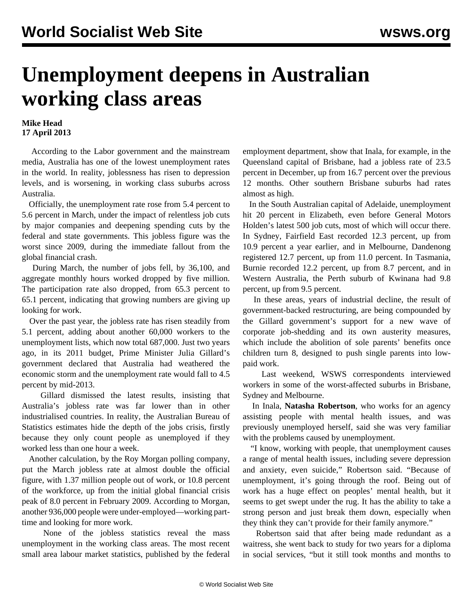## **Unemployment deepens in Australian working class areas**

## **Mike Head 17 April 2013**

 According to the Labor government and the mainstream media, Australia has one of the lowest unemployment rates in the world. In reality, joblessness has risen to depression levels, and is worsening, in working class suburbs across Australia.

 Officially, the unemployment rate rose from 5.4 percent to 5.6 percent in March, under the impact of relentless job cuts by major companies and deepening spending cuts by the federal and state governments. This jobless figure was the worst since 2009, during the immediate fallout from the global financial crash.

 During March, the number of jobs fell, by 36,100, and aggregate monthly hours worked dropped by five million. The participation rate also dropped, from 65.3 percent to 65.1 percent, indicating that growing numbers are giving up looking for work.

 Over the past year, the jobless rate has risen steadily from 5.1 percent, adding about another 60,000 workers to the unemployment lists, which now total 687,000. Just two years ago, in its 2011 budget, Prime Minister Julia Gillard's government declared that Australia had weathered the economic storm and the unemployment rate would fall to 4.5 percent by mid-2013.

 Gillard dismissed the latest results, insisting that Australia's jobless rate was far lower than in other industrialised countries. In reality, the Australian Bureau of Statistics estimates hide the depth of the jobs crisis, firstly because they only count people as unemployed if they worked less than one hour a week.

 Another calculation, by the Roy Morgan polling company, put the March jobless rate at almost double the official figure, with 1.37 million people out of work, or 10.8 percent of the workforce, up from the initial global financial crisis peak of 8.0 percent in February 2009. According to Morgan, another 936,000 people were under-employed—working parttime and looking for more work.

 None of the jobless statistics reveal the mass unemployment in the working class areas. The most recent small area labour market statistics, published by the federal employment department, show that Inala, for example, in the Queensland capital of Brisbane, had a jobless rate of 23.5 percent in December, up from 16.7 percent over the previous 12 months. Other southern Brisbane suburbs had rates almost as high.

 In the South Australian capital of Adelaide, unemployment hit 20 percent in Elizabeth, even before General Motors Holden's latest 500 job cuts, most of which will occur there. In Sydney, Fairfield East recorded 12.3 percent, up from 10.9 percent a year earlier, and in Melbourne, Dandenong registered 12.7 percent, up from 11.0 percent. In Tasmania, Burnie recorded 12.2 percent, up from 8.7 percent, and in Western Australia, the Perth suburb of Kwinana had 9.8 percent, up from 9.5 percent.

 In these areas, years of industrial decline, the result of government-backed restructuring, are being compounded by the Gillard government's support for a new wave of corporate job-shedding and its own austerity measures, which include the abolition of sole parents' benefits once children turn 8, designed to push single parents into lowpaid work.

 Last weekend, WSWS correspondents interviewed workers in some of the worst-affected suburbs in Brisbane, Sydney and Melbourne.

 In Inala, **Natasha Robertson**, who works for an agency assisting people with mental health issues, and was previously unemployed herself, said she was very familiar with the problems caused by unemployment.

 "I know, working with people, that unemployment causes a range of mental health issues, including severe depression and anxiety, even suicide," Robertson said. "Because of unemployment, it's going through the roof. Being out of work has a huge effect on peoples' mental health, but it seems to get swept under the rug. It has the ability to take a strong person and just break them down, especially when they think they can't provide for their family anymore."

 Robertson said that after being made redundant as a waitress, she went back to study for two years for a diploma in social services, "but it still took months and months to